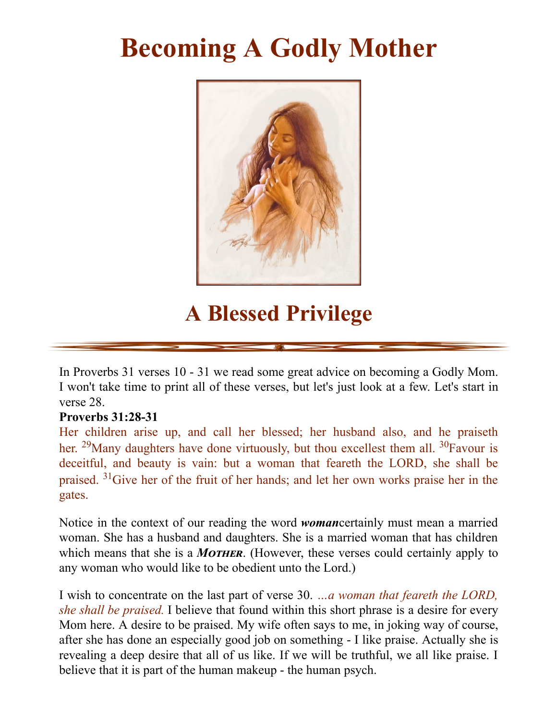## **Becoming A Godly Mother**



## **A Blessed Privilege**

In Proverbs 31 verses 10 - 31 we read some great advice on becoming a Godly Mom. I won't take time to print all of these verses, but let's just look at a few. Let's start in verse 28.

## **Proverbs 31:28-31**

Her children arise up, and call her blessed; her husband also, and he praiseth her. <sup>29</sup>Many daughters have done virtuously, but thou excellest them all. <sup>30</sup>Favour is deceitful, and beauty is vain: but a woman that feareth the LORD, she shall be praised. <sup>31</sup>Give her of the fruit of her hands; and let her own works praise her in the gates.

Notice in the context of our reading the word *woman*certainly must mean a married woman. She has a husband and daughters. She is a married woman that has children which means that she is a *MOTHER*. (However, these verses could certainly apply to any woman who would like to be obedient unto the Lord.)

I wish to concentrate on the last part of verse 30. *…a woman that feareth the LORD, she shall be praised.* I believe that found within this short phrase is a desire for every Mom here. A desire to be praised. My wife often says to me, in joking way of course, after she has done an especially good job on something - I like praise. Actually she is revealing a deep desire that all of us like. If we will be truthful, we all like praise. I believe that it is part of the human makeup - the human psych.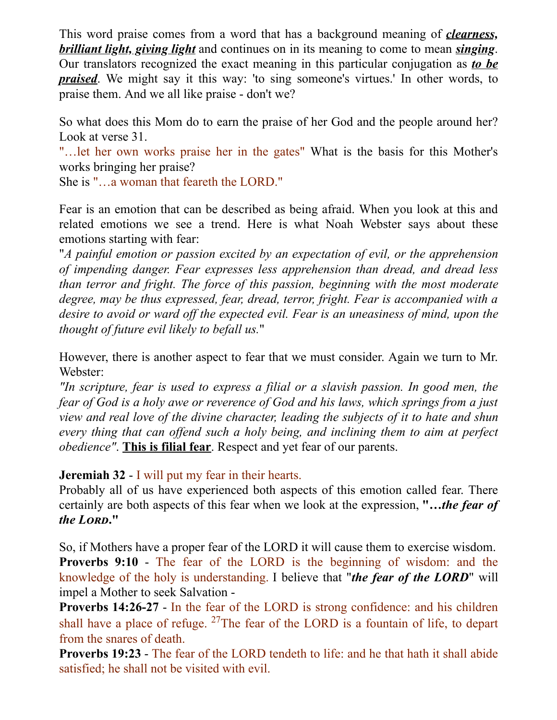This word praise comes from a word that has a background meaning of *clearness, brilliant light, giving light* and continues on in its meaning to come to mean *singing*. Our translators recognized the exact meaning in this particular conjugation as *to be praised*. We might say it this way: 'to sing someone's virtues.' In other words, to praise them. And we all like praise - don't we?

So what does this Mom do to earn the praise of her God and the people around her? Look at verse 31.

"…let her own works praise her in the gates" What is the basis for this Mother's works bringing her praise?

She is "…a woman that feareth the LORD."

Fear is an emotion that can be described as being afraid. When you look at this and related emotions we see a trend. Here is what Noah Webster says about these emotions starting with fear:

"*A painful emotion or passion excited by an expectation of evil, or the apprehension of impending danger. Fear expresses less apprehension than dread, and dread less than terror and fright. The force of this passion, beginning with the most moderate degree, may be thus expressed, fear, dread, terror, fright. Fear is accompanied with a desire to avoid or ward of the expected evil. Fear is an uneasiness of mind, upon the thought of future evil likely to befall us.*"

However, there is another aspect to fear that we must consider. Again we turn to Mr. Webster:

*"In scripture, fear is used to express a filial or a slavish passion. In good men, the fear of God is a holy awe or reverence of God and his laws, which springs from a just view and real love of the divine character, leading the subjects of it to hate and shun every thing that can of end such a holy being, and inclining them to aim at perfect obedience"*. **This is filial fear**. Respect and yet fear of our parents.

## **Jeremiah 32** - I will put my fear in their hearts.

Probably all of us have experienced both aspects of this emotion called fear. There certainly are both aspects of this fear when we look at the expression, **"…***the fear of the L***."**

So, if Mothers have a proper fear of the LORD it will cause them to exercise wisdom. **Proverbs 9:10** - The fear of the LORD is the beginning of wisdom: and the knowledge of the holy is understanding. I believe that "*the fear of the LORD*" will impel a Mother to seek Salvation -

**Proverbs 14:26-27** - In the fear of the LORD is strong confidence: and his children shall have a place of refuge.  $27$ The fear of the LORD is a fountain of life, to depart from the snares of death.

**Proverbs 19:23** - The fear of the LORD tendeth to life: and he that hath it shall abide satisfied; he shall not be visited with evil.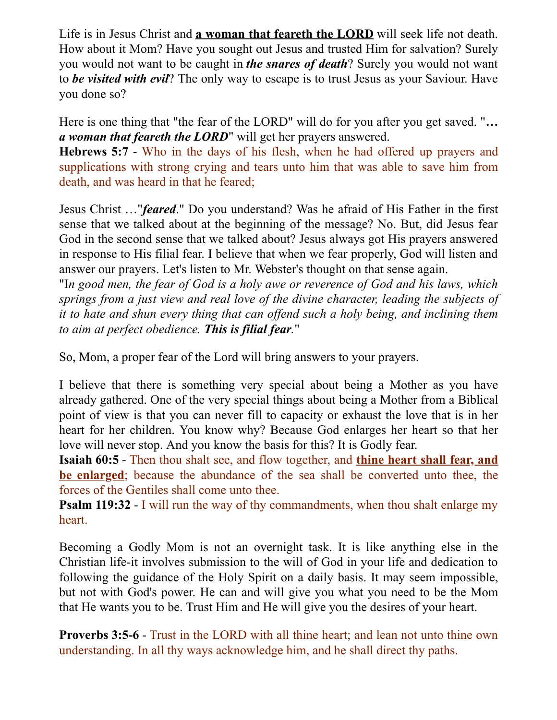Life is in Jesus Christ and **a woman that feareth the LORD** will seek life not death. How about it Mom? Have you sought out Jesus and trusted Him for salvation? Surely you would not want to be caught in *the snares of death*? Surely you would not want to *be visited with evil*? The only way to escape is to trust Jesus as your Saviour. Have you done so?

Here is one thing that "the fear of the LORD" will do for you after you get saved. "*… a woman that feareth the LORD*" will get her prayers answered.

**Hebrews 5:7** - Who in the days of his flesh, when he had offered up prayers and supplications with strong crying and tears unto him that was able to save him from death, and was heard in that he feared;

Jesus Christ …"*feared*." Do you understand? Was he afraid of His Father in the first sense that we talked about at the beginning of the message? No. But, did Jesus fear God in the second sense that we talked about? Jesus always got His prayers answered in response to His filial fear. I believe that when we fear properly, God will listen and answer our prayers. Let's listen to Mr. Webster's thought on that sense again.

"I*n good men, the fear of God is a holy awe or reverence of God and his laws, which springs from a just view and real love of the divine character, leading the subjects of it to hate and shun every thing that can of end such a holy being, and inclining them to aim at perfect obedience. This is filial fear.*"

So, Mom, a proper fear of the Lord will bring answers to your prayers.

I believe that there is something very special about being a Mother as you have already gathered. One of the very special things about being a Mother from a Biblical point of view is that you can never fill to capacity or exhaust the love that is in her heart for her children. You know why? Because God enlarges her heart so that her love will never stop. And you know the basis for this? It is Godly fear.

**Isaiah 60:5** - Then thou shalt see, and flow together, and **thine heart shall fear, and be enlarged**; because the abundance of the sea shall be converted unto thee, the forces of the Gentiles shall come unto thee.

**Psalm 119:32** - I will run the way of thy commandments, when thou shalt enlarge my heart.

Becoming a Godly Mom is not an overnight task. It is like anything else in the Christian life-it involves submission to the will of God in your life and dedication to following the guidance of the Holy Spirit on a daily basis. It may seem impossible, but not with God's power. He can and will give you what you need to be the Mom that He wants you to be. Trust Him and He will give you the desires of your heart.

**Proverbs 3:5-6** - Trust in the LORD with all thine heart; and lean not unto thine own understanding. In all thy ways acknowledge him, and he shall direct thy paths.